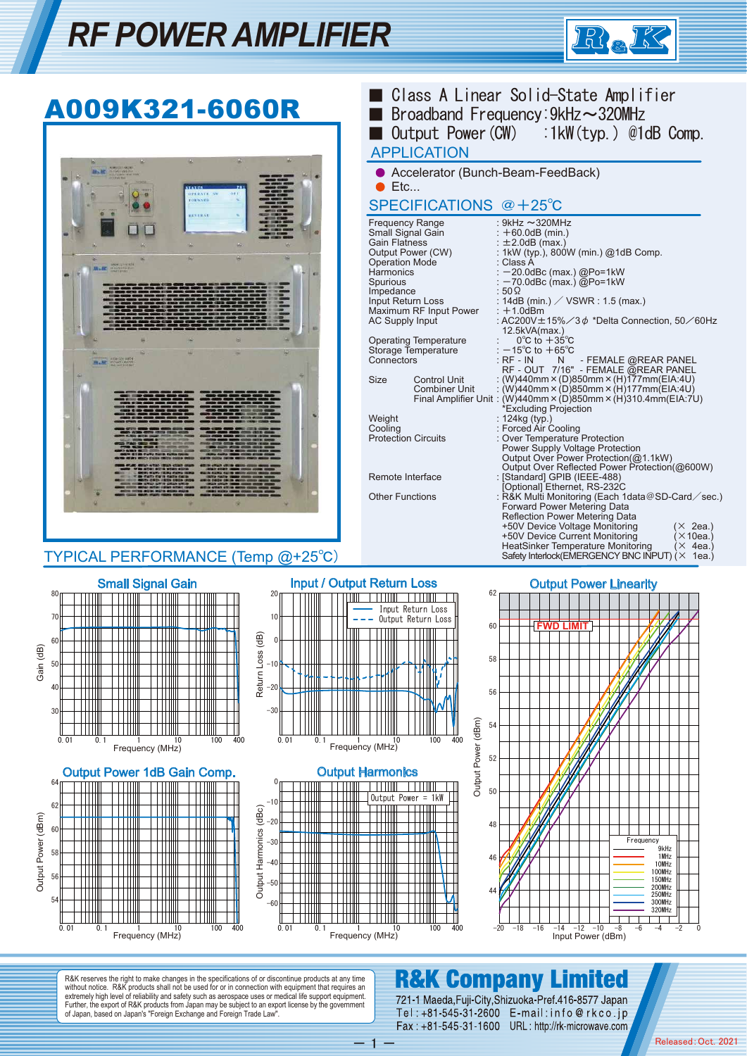# *RF POWER AMPLIFIER*





 $-1 -$ 

without notice. R&K products shall not be used for or in connection with equipment that requires an extremely high level of reliability and safety such as aerospace uses or medical life support equipment. Further, the export of R&K products from Japan may be subject to an export license by the government of Japan, based on Japan's "Foreign Exchange and Foreign Trade Law".

#### 721-1 Maeda, Fuji-City, Shizuoka-Pref. 416-8577 Japan Tel: +81-545-31-2600 E-mail: info@rkco.jp Fax: +81-545-31-1600 URL: http://rk-microwave.com

Released:Oct. 2021